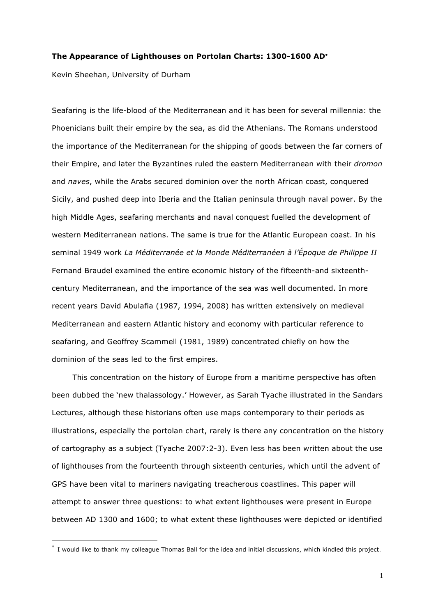#### **The Appearance of Lighthouses on Portolan Charts: 1300-1600 AD**<sup>∗</sup>

Kevin Sheehan, University of Durham

1

Seafaring is the life-blood of the Mediterranean and it has been for several millennia: the Phoenicians built their empire by the sea, as did the Athenians. The Romans understood the importance of the Mediterranean for the shipping of goods between the far corners of their Empire, and later the Byzantines ruled the eastern Mediterranean with their *dromon* and *naves*, while the Arabs secured dominion over the north African coast, conquered Sicily, and pushed deep into Iberia and the Italian peninsula through naval power. By the high Middle Ages, seafaring merchants and naval conquest fuelled the development of western Mediterranean nations. The same is true for the Atlantic European coast. In his seminal 1949 work *La Méditerranée et la Monde Méditerranéen à l'Époque de Philippe II* Fernand Braudel examined the entire economic history of the fifteenth-and sixteenthcentury Mediterranean, and the importance of the sea was well documented. In more recent years David Abulafia (1987, 1994, 2008) has written extensively on medieval Mediterranean and eastern Atlantic history and economy with particular reference to seafaring, and Geoffrey Scammell (1981, 1989) concentrated chiefly on how the dominion of the seas led to the first empires.

This concentration on the history of Europe from a maritime perspective has often been dubbed the 'new thalassology.' However, as Sarah Tyache illustrated in the Sandars Lectures, although these historians often use maps contemporary to their periods as illustrations, especially the portolan chart, rarely is there any concentration on the history of cartography as a subject (Tyache 2007:2-3). Even less has been written about the use of lighthouses from the fourteenth through sixteenth centuries, which until the advent of GPS have been vital to mariners navigating treacherous coastlines. This paper will attempt to answer three questions: to what extent lighthouses were present in Europe between AD 1300 and 1600; to what extent these lighthouses were depicted or identified

<sup>∗</sup> I would like to thank my colleague Thomas Ball for the idea and initial discussions, which kindled this project.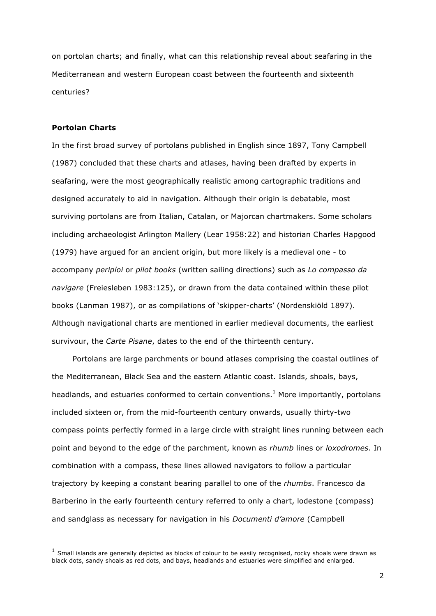on portolan charts; and finally, what can this relationship reveal about seafaring in the Mediterranean and western European coast between the fourteenth and sixteenth centuries?

## **Portolan Charts**

1

In the first broad survey of portolans published in English since 1897, Tony Campbell (1987) concluded that these charts and atlases, having been drafted by experts in seafaring, were the most geographically realistic among cartographic traditions and designed accurately to aid in navigation. Although their origin is debatable, most surviving portolans are from Italian, Catalan, or Majorcan chartmakers. Some scholars including archaeologist Arlington Mallery (Lear 1958:22) and historian Charles Hapgood (1979) have argued for an ancient origin, but more likely is a medieval one - to accompany *periploi* or *pilot books* (written sailing directions) such as *Lo compasso da navigare* (Freiesleben 1983:125), or drawn from the data contained within these pilot books (Lanman 1987), or as compilations of 'skipper-charts' (Nordenskiöld 1897). Although navigational charts are mentioned in earlier medieval documents, the earliest survivour, the *Carte Pisane*, dates to the end of the thirteenth century.

Portolans are large parchments or bound atlases comprising the coastal outlines of the Mediterranean, Black Sea and the eastern Atlantic coast. Islands, shoals, bays, headlands, and estuaries conformed to certain conventions. $<sup>1</sup>$  More importantly, portolans</sup> included sixteen or, from the mid-fourteenth century onwards, usually thirty-two compass points perfectly formed in a large circle with straight lines running between each point and beyond to the edge of the parchment, known as *rhumb* lines or *loxodromes*. In combination with a compass, these lines allowed navigators to follow a particular trajectory by keeping a constant bearing parallel to one of the *rhumbs*. Francesco da Barberino in the early fourteenth century referred to only a chart, lodestone (compass) and sandglass as necessary for navigation in his *Documenti d'amore* (Campbell

 $1$  Small islands are generally depicted as blocks of colour to be easily recognised, rocky shoals were drawn as black dots, sandy shoals as red dots, and bays, headlands and estuaries were simplified and enlarged.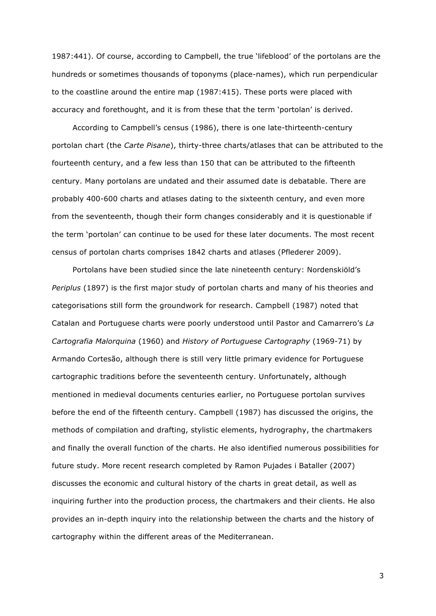1987:441). Of course, according to Campbell, the true 'lifeblood' of the portolans are the hundreds or sometimes thousands of toponyms (place-names), which run perpendicular to the coastline around the entire map (1987:415). These ports were placed with accuracy and forethought, and it is from these that the term 'portolan' is derived.

According to Campbell's census (1986), there is one late-thirteenth-century portolan chart (the *Carte Pisane*), thirty-three charts/atlases that can be attributed to the fourteenth century, and a few less than 150 that can be attributed to the fifteenth century. Many portolans are undated and their assumed date is debatable. There are probably 400-600 charts and atlases dating to the sixteenth century, and even more from the seventeenth, though their form changes considerably and it is questionable if the term 'portolan' can continue to be used for these later documents. The most recent census of portolan charts comprises 1842 charts and atlases (Pflederer 2009).

Portolans have been studied since the late nineteenth century: Nordenskiöld's *Periplus* (1897) is the first major study of portolan charts and many of his theories and categorisations still form the groundwork for research. Campbell (1987) noted that Catalan and Portuguese charts were poorly understood until Pastor and Camarrero's *La Cartografia Malorquina* (1960) and *History of Portuguese Cartography* (1969-71) by Armando Cortesão, although there is still very little primary evidence for Portuguese cartographic traditions before the seventeenth century. Unfortunately, although mentioned in medieval documents centuries earlier, no Portuguese portolan survives before the end of the fifteenth century. Campbell (1987) has discussed the origins, the methods of compilation and drafting, stylistic elements, hydrography, the chartmakers and finally the overall function of the charts. He also identified numerous possibilities for future study. More recent research completed by Ramon Pujades i Bataller (2007) discusses the economic and cultural history of the charts in great detail, as well as inquiring further into the production process, the chartmakers and their clients. He also provides an in-depth inquiry into the relationship between the charts and the history of cartography within the different areas of the Mediterranean.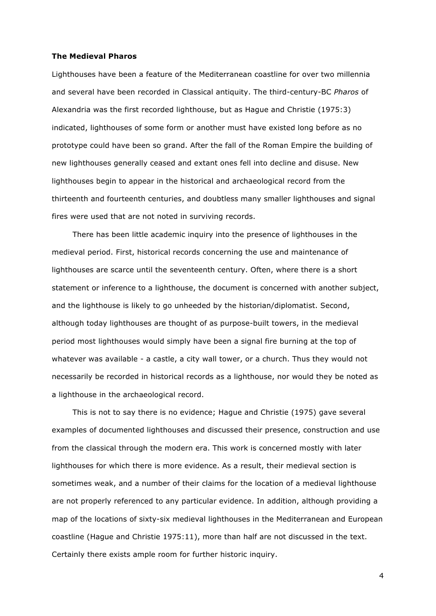### **The Medieval Pharos**

Lighthouses have been a feature of the Mediterranean coastline for over two millennia and several have been recorded in Classical antiquity. The third-century-BC *Pharos* of Alexandria was the first recorded lighthouse, but as Hague and Christie (1975:3) indicated, lighthouses of some form or another must have existed long before as no prototype could have been so grand. After the fall of the Roman Empire the building of new lighthouses generally ceased and extant ones fell into decline and disuse. New lighthouses begin to appear in the historical and archaeological record from the thirteenth and fourteenth centuries, and doubtless many smaller lighthouses and signal fires were used that are not noted in surviving records.

There has been little academic inquiry into the presence of lighthouses in the medieval period. First, historical records concerning the use and maintenance of lighthouses are scarce until the seventeenth century. Often, where there is a short statement or inference to a lighthouse, the document is concerned with another subject, and the lighthouse is likely to go unheeded by the historian/diplomatist. Second, although today lighthouses are thought of as purpose-built towers, in the medieval period most lighthouses would simply have been a signal fire burning at the top of whatever was available - a castle, a city wall tower, or a church. Thus they would not necessarily be recorded in historical records as a lighthouse, nor would they be noted as a lighthouse in the archaeological record.

This is not to say there is no evidence; Hague and Christie (1975) gave several examples of documented lighthouses and discussed their presence, construction and use from the classical through the modern era. This work is concerned mostly with later lighthouses for which there is more evidence. As a result, their medieval section is sometimes weak, and a number of their claims for the location of a medieval lighthouse are not properly referenced to any particular evidence. In addition, although providing a map of the locations of sixty-six medieval lighthouses in the Mediterranean and European coastline (Hague and Christie 1975:11), more than half are not discussed in the text. Certainly there exists ample room for further historic inquiry.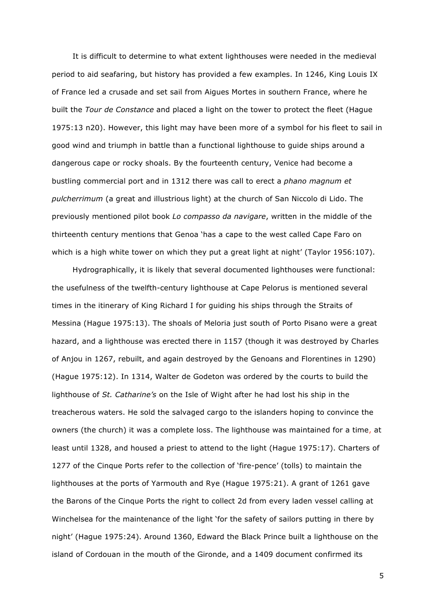It is difficult to determine to what extent lighthouses were needed in the medieval period to aid seafaring, but history has provided a few examples. In 1246, King Louis IX of France led a crusade and set sail from Aigues Mortes in southern France, where he built the *Tour de Constance* and placed a light on the tower to protect the fleet (Hague 1975:13 n20). However, this light may have been more of a symbol for his fleet to sail in good wind and triumph in battle than a functional lighthouse to guide ships around a dangerous cape or rocky shoals. By the fourteenth century, Venice had become a bustling commercial port and in 1312 there was call to erect a *phano magnum et pulcherrimum* (a great and illustrious light) at the church of San Niccolo di Lido. The previously mentioned pilot book *Lo compasso da navigare*, written in the middle of the thirteenth century mentions that Genoa 'has a cape to the west called Cape Faro on which is a high white tower on which they put a great light at night' (Taylor 1956:107).

Hydrographically, it is likely that several documented lighthouses were functional: the usefulness of the twelfth-century lighthouse at Cape Pelorus is mentioned several times in the itinerary of King Richard I for guiding his ships through the Straits of Messina (Hague 1975:13). The shoals of Meloria just south of Porto Pisano were a great hazard, and a lighthouse was erected there in 1157 (though it was destroyed by Charles of Anjou in 1267, rebuilt, and again destroyed by the Genoans and Florentines in 1290) (Hague 1975:12). In 1314, Walter de Godeton was ordered by the courts to build the lighthouse of *St. Catharine's* on the Isle of Wight after he had lost his ship in the treacherous waters. He sold the salvaged cargo to the islanders hoping to convince the owners (the church) it was a complete loss. The lighthouse was maintained for a time, at least until 1328, and housed a priest to attend to the light (Hague 1975:17). Charters of 1277 of the Cinque Ports refer to the collection of 'fire-pence' (tolls) to maintain the lighthouses at the ports of Yarmouth and Rye (Hague 1975:21). A grant of 1261 gave the Barons of the Cinque Ports the right to collect 2d from every laden vessel calling at Winchelsea for the maintenance of the light 'for the safety of sailors putting in there by night' (Hague 1975:24). Around 1360, Edward the Black Prince built a lighthouse on the island of Cordouan in the mouth of the Gironde, and a 1409 document confirmed its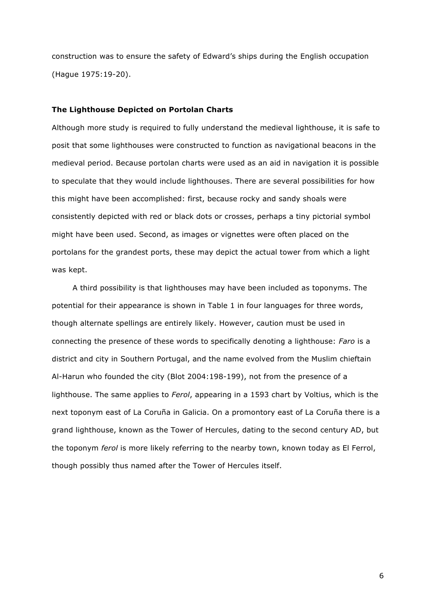construction was to ensure the safety of Edward's ships during the English occupation (Hague 1975:19-20).

#### **The Lighthouse Depicted on Portolan Charts**

Although more study is required to fully understand the medieval lighthouse, it is safe to posit that some lighthouses were constructed to function as navigational beacons in the medieval period. Because portolan charts were used as an aid in navigation it is possible to speculate that they would include lighthouses. There are several possibilities for how this might have been accomplished: first, because rocky and sandy shoals were consistently depicted with red or black dots or crosses, perhaps a tiny pictorial symbol might have been used. Second, as images or vignettes were often placed on the portolans for the grandest ports, these may depict the actual tower from which a light was kept.

A third possibility is that lighthouses may have been included as toponyms. The potential for their appearance is shown in Table 1 in four languages for three words, though alternate spellings are entirely likely. However, caution must be used in connecting the presence of these words to specifically denoting a lighthouse: *Faro* is a district and city in Southern Portugal, and the name evolved from the Muslim chieftain Al-Harun who founded the city (Blot 2004:198-199), not from the presence of a lighthouse. The same applies to *Ferol*, appearing in a 1593 chart by Voltius, which is the next toponym east of La Coruña in Galicia. On a promontory east of La Coruña there is a grand lighthouse, known as the Tower of Hercules, dating to the second century AD, but the toponym *ferol* is more likely referring to the nearby town, known today as El Ferrol, though possibly thus named after the Tower of Hercules itself.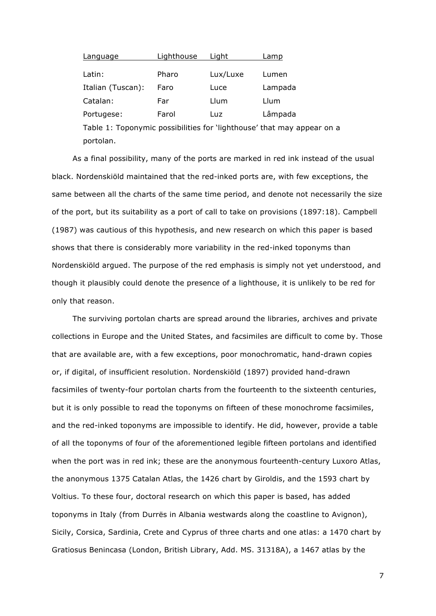| Lighthouse | Liaht    | Lamp    |
|------------|----------|---------|
|            |          |         |
| Pharo      | Lux/Luxe | Lumen   |
| Faro       | Luce     | Lampada |
| Far        | Llum     | Llum    |
| Farol      | Luz      | Lâmpada |
|            |          |         |

Table 1: Toponymic possibilities for 'lighthouse' that may appear on a portolan.

As a final possibility, many of the ports are marked in red ink instead of the usual black. Nordenskiöld maintained that the red-inked ports are, with few exceptions, the same between all the charts of the same time period, and denote not necessarily the size of the port, but its suitability as a port of call to take on provisions (1897:18). Campbell (1987) was cautious of this hypothesis, and new research on which this paper is based shows that there is considerably more variability in the red-inked toponyms than Nordenskiöld argued. The purpose of the red emphasis is simply not yet understood, and though it plausibly could denote the presence of a lighthouse, it is unlikely to be red for only that reason.

The surviving portolan charts are spread around the libraries, archives and private collections in Europe and the United States, and facsimiles are difficult to come by. Those that are available are, with a few exceptions, poor monochromatic, hand-drawn copies or, if digital, of insufficient resolution. Nordenskiöld (1897) provided hand-drawn facsimiles of twenty-four portolan charts from the fourteenth to the sixteenth centuries, but it is only possible to read the toponyms on fifteen of these monochrome facsimiles, and the red-inked toponyms are impossible to identify. He did, however, provide a table of all the toponyms of four of the aforementioned legible fifteen portolans and identified when the port was in red ink; these are the anonymous fourteenth-century Luxoro Atlas, the anonymous 1375 Catalan Atlas, the 1426 chart by Giroldis, and the 1593 chart by Voltius. To these four, doctoral research on which this paper is based, has added toponyms in Italy (from Durrës in Albania westwards along the coastline to Avignon), Sicily, Corsica, Sardinia, Crete and Cyprus of three charts and one atlas: a 1470 chart by Gratiosus Benincasa (London, British Library, Add. MS. 31318A), a 1467 atlas by the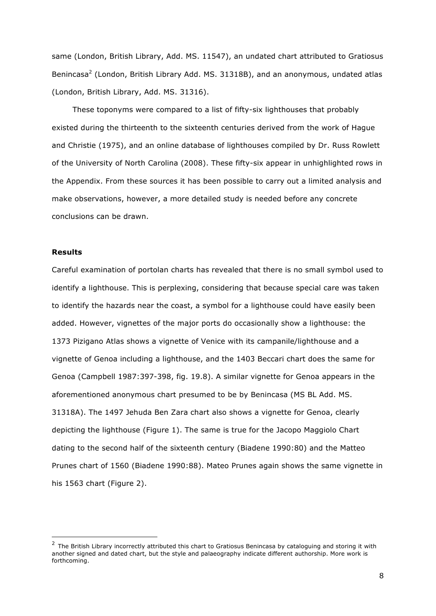same (London, British Library, Add. MS. 11547), an undated chart attributed to Gratiosus Benincasa<sup>2</sup> (London, British Library Add. MS. 31318B), and an anonymous, undated atlas (London, British Library, Add. MS. 31316).

These toponyms were compared to a list of fifty-six lighthouses that probably existed during the thirteenth to the sixteenth centuries derived from the work of Hague and Christie (1975), and an online database of lighthouses compiled by Dr. Russ Rowlett of the University of North Carolina (2008). These fifty-six appear in unhighlighted rows in the Appendix. From these sources it has been possible to carry out a limited analysis and make observations, however, a more detailed study is needed before any concrete conclusions can be drawn.

## **Results**

1

Careful examination of portolan charts has revealed that there is no small symbol used to identify a lighthouse. This is perplexing, considering that because special care was taken to identify the hazards near the coast, a symbol for a lighthouse could have easily been added. However, vignettes of the major ports do occasionally show a lighthouse: the 1373 Pizigano Atlas shows a vignette of Venice with its campanile/lighthouse and a vignette of Genoa including a lighthouse, and the 1403 Beccari chart does the same for Genoa (Campbell 1987:397-398, fig. 19.8). A similar vignette for Genoa appears in the aforementioned anonymous chart presumed to be by Benincasa (MS BL Add. MS. 31318A). The 1497 Jehuda Ben Zara chart also shows a vignette for Genoa, clearly depicting the lighthouse (Figure 1). The same is true for the Jacopo Maggiolo Chart dating to the second half of the sixteenth century (Biadene 1990:80) and the Matteo Prunes chart of 1560 (Biadene 1990:88). Mateo Prunes again shows the same vignette in his 1563 chart (Figure 2).

 $2$  The British Library incorrectly attributed this chart to Gratiosus Benincasa by cataloguing and storing it with another signed and dated chart, but the style and palaeography indicate different authorship. More work is forthcoming.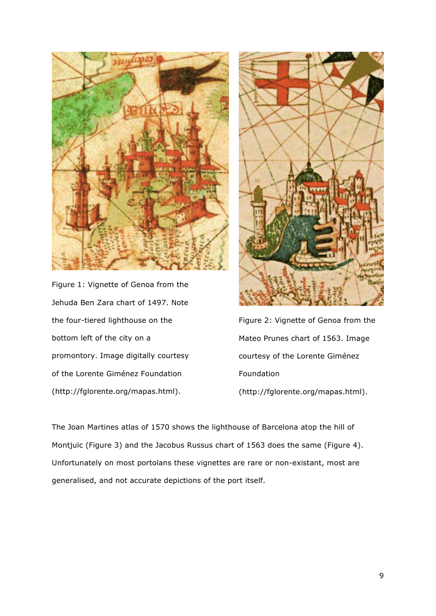

Figure 1: Vignette of Genoa from the Jehuda Ben Zara chart of 1497. Note the four-tiered lighthouse on the bottom left of the city on a promontory. Image digitally courtesy of the Lorente Giménez Foundation (http://fglorente.org/mapas.html).



Figure 2: Vignette of Genoa from the Mateo Prunes chart of 1563. Image courtesy of the Lorente Giménez Foundation (http://fglorente.org/mapas.html).

The Joan Martines atlas of 1570 shows the lighthouse of Barcelona atop the hill of Montjuïc (Figure 3) and the Jacobus Russus chart of 1563 does the same (Figure 4). Unfortunately on most portolans these vignettes are rare or non-existant, most are generalised, and not accurate depictions of the port itself.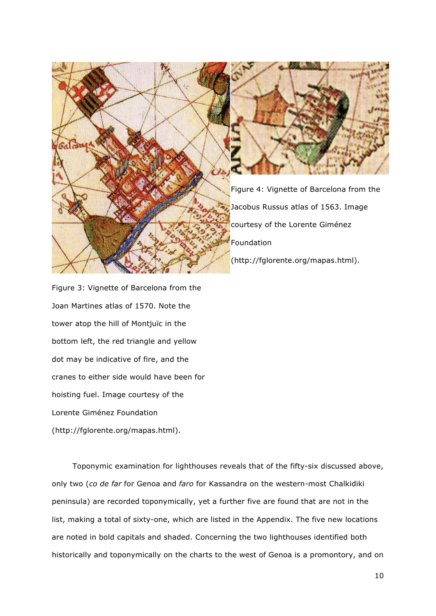

Figure 3: Vignette of Barcelona from the Joan Martines atlas of 1570. Note the tower atop the hill of Montjuïc in the bottom left, the red triangle and yellow dot may be indicative of fire, and the cranes to either side would have been for hoisting fuel. Image courtesy of the Lorente Giménez Foundation (http://fglorente.org/mapas.html).

Toponymic examination for lighthouses reveals that of the fifty-six discussed above, only two (*co de far* for Genoa and *faro* for Kassandra on the western-most Chalkidiki peninsula) are recorded toponymically, yet a further five are found that are not in the list, making a total of sixty-one, which are listed in the Appendix. The five new locations are noted in bold capitals and shaded. Concerning the two lighthouses identified both historically and toponymically on the charts to the west of Genoa is a promontory, and on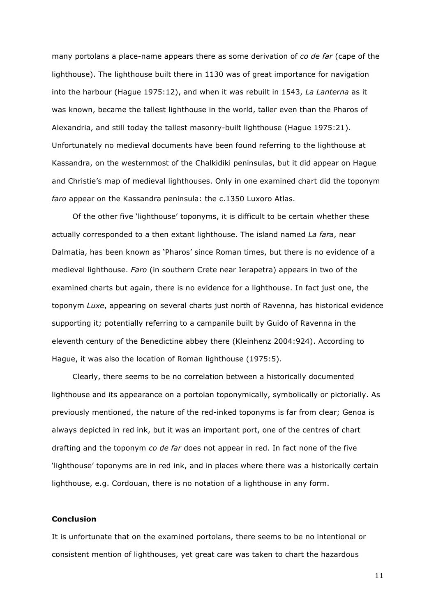many portolans a place-name appears there as some derivation of *co de far* (cape of the lighthouse). The lighthouse built there in 1130 was of great importance for navigation into the harbour (Hague 1975:12), and when it was rebuilt in 1543, *La Lanterna* as it was known, became the tallest lighthouse in the world, taller even than the Pharos of Alexandria, and still today the tallest masonry-built lighthouse (Hague 1975:21). Unfortunately no medieval documents have been found referring to the lighthouse at Kassandra, on the westernmost of the Chalkidiki peninsulas, but it did appear on Hague and Christie's map of medieval lighthouses. Only in one examined chart did the toponym *faro* appear on the Kassandra peninsula: the c.1350 Luxoro Atlas.

Of the other five 'lighthouse' toponyms, it is difficult to be certain whether these actually corresponded to a then extant lighthouse. The island named *La fara*, near Dalmatia, has been known as 'Pharos' since Roman times, but there is no evidence of a medieval lighthouse. *Faro* (in southern Crete near Ierapetra) appears in two of the examined charts but again, there is no evidence for a lighthouse. In fact just one, the toponym *Luxe*, appearing on several charts just north of Ravenna, has historical evidence supporting it; potentially referring to a campanile built by Guido of Ravenna in the eleventh century of the Benedictine abbey there (Kleinhenz 2004:924). According to Hague, it was also the location of Roman lighthouse (1975:5).

Clearly, there seems to be no correlation between a historically documented lighthouse and its appearance on a portolan toponymically, symbolically or pictorially. As previously mentioned, the nature of the red-inked toponyms is far from clear; Genoa is always depicted in red ink, but it was an important port, one of the centres of chart drafting and the toponym *co de far* does not appear in red. In fact none of the five 'lighthouse' toponyms are in red ink, and in places where there was a historically certain lighthouse, e.g. Cordouan, there is no notation of a lighthouse in any form.

#### **Conclusion**

It is unfortunate that on the examined portolans, there seems to be no intentional or consistent mention of lighthouses, yet great care was taken to chart the hazardous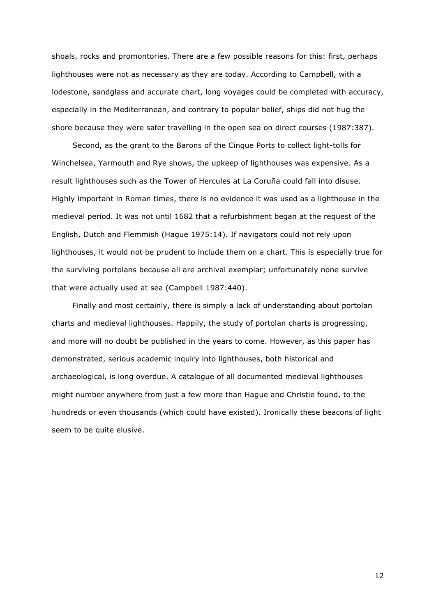shoals, rocks and promontories. There are a few possible reasons for this: first, perhaps lighthouses were not as necessary as they are today. According to Campbell, with a lodestone, sandglass and accurate chart, long voyages could be completed with accuracy, especially in the Mediterranean, and contrary to popular belief, ships did not hug the shore because they were safer travelling in the open sea on direct courses (1987:387).

Second, as the grant to the Barons of the Cinque Ports to collect light-tolls for Winchelsea, Yarmouth and Rye shows, the upkeep of lighthouses was expensive. As a result lighthouses such as the Tower of Hercules at La Coruña could fall into disuse. Highly important in Roman times, there is no evidence it was used as a lighthouse in the medieval period. It was not until 1682 that a refurbishment began at the request of the English, Dutch and Flemmish (Hague 1975:14). If navigators could not rely upon lighthouses, it would not be prudent to include them on a chart. This is especially true for the surviving portolans because all are archival exemplar; unfortunately none survive that were actually used at sea (Campbell 1987:440).

Finally and most certainly, there is simply a lack of understanding about portolan charts and medieval lighthouses. Happily, the study of portolan charts is progressing, and more will no doubt be published in the years to come. However, as this paper has demonstrated, serious academic inquiry into lighthouses, both historical and archaeological, is long overdue. A catalogue of all documented medieval lighthouses might number anywhere from just a few more than Hague and Christie found, to the hundreds or even thousands (which could have existed). Ironically these beacons of light seem to be quite elusive.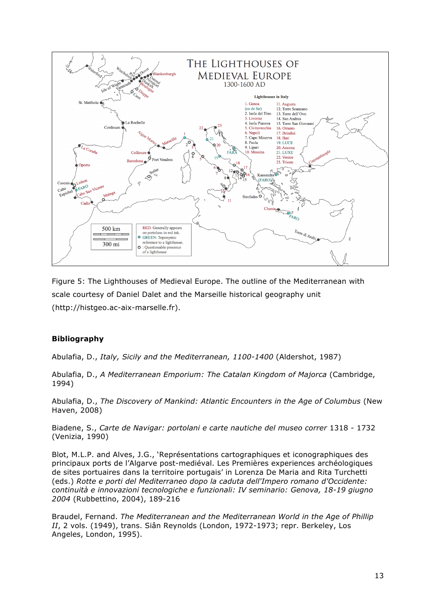

Figure 5: The Lighthouses of Medieval Europe. The outline of the Mediterranean with scale courtesy of Daniel Dalet and the Marseille historical geography unit (http://histgeo.ac-aix-marselle.fr).

# **Bibliography**

Abulafia, D., *Italy, Sicily and the Mediterranean, 1100-1400* (Aldershot, 1987)

Abulafia, D., *A Mediterranean Emporium: The Catalan Kingdom of Majorca* (Cambridge, 1994)

Abulafia, D., *The Discovery of Mankind: Atlantic Encounters in the Age of Columbus* (New Haven, 2008)

Biadene, S., *Carte de Navigar: portolani e carte nautiche del museo correr* 1318 - 1732 (Venizia, 1990)

Blot, M.L.P. and Alves, J.G., 'Représentations cartographiques et iconographiques des principaux ports de l'Algarve post-mediéval. Les Premières experiences archéologiques de sites portuaires dans la territoire portugais' in Lorenza De Maria and Rita Turchetti (eds.) *Rotte e porti del Mediterraneo dopo la caduta dell'Impero romano d'Occidente: continuità e innovazioni tecnologiche e funzionali: IV seminario: Genova, 18-19 giugno 2004* (Rubbettino, 2004), 189-216

Braudel, Fernand. *The Mediterranean and the Mediterranean World in the Age of Phillip II*, 2 vols. (1949), trans. Siân Reynolds (London, 1972-1973; repr. Berkeley, Los Angeles, London, 1995).